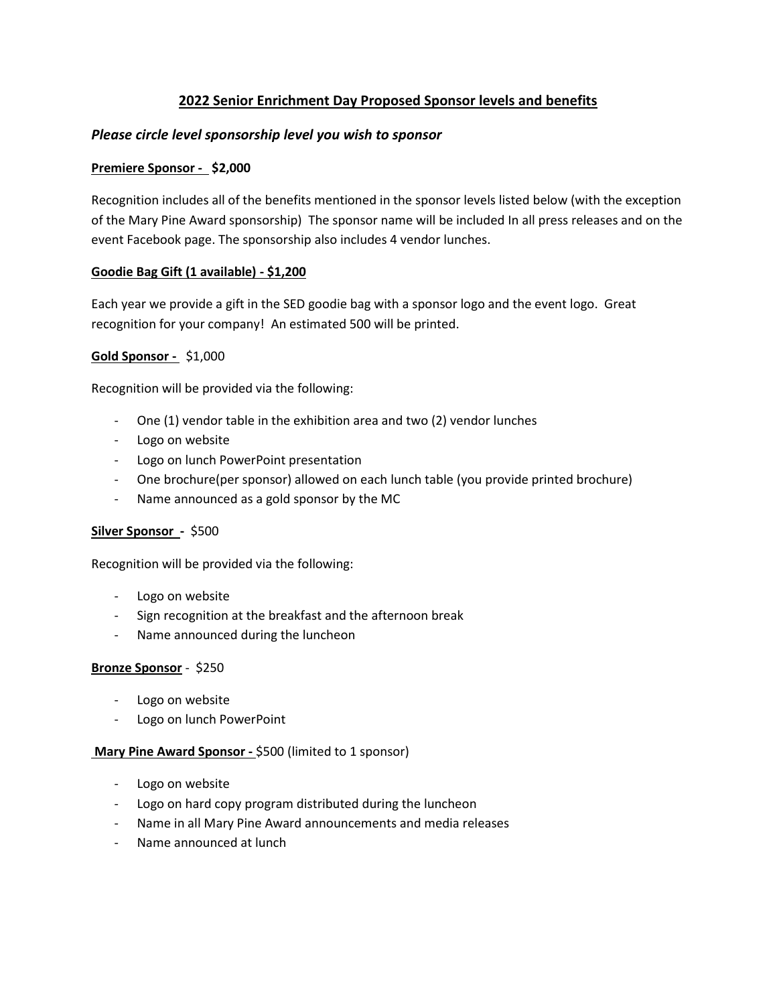## **2022 Senior Enrichment Day Proposed Sponsor levels and benefits**

### *Please circle level sponsorship level you wish to sponsor*

#### **Premiere Sponsor - \$2,000**

Recognition includes all of the benefits mentioned in the sponsor levels listed below (with the exception of the Mary Pine Award sponsorship) The sponsor name will be included In all press releases and on the event Facebook page. The sponsorship also includes 4 vendor lunches.

#### **Goodie Bag Gift (1 available) - \$1,200**

Each year we provide a gift in the SED goodie bag with a sponsor logo and the event logo. Great recognition for your company! An estimated 500 will be printed.

#### **Gold Sponsor -** \$1,000

Recognition will be provided via the following:

- One (1) vendor table in the exhibition area and two (2) vendor lunches
- Logo on website
- Logo on lunch PowerPoint presentation
- One brochure(per sponsor) allowed on each lunch table (you provide printed brochure)
- Name announced as a gold sponsor by the MC

## **Silver Sponsor -** \$500

Recognition will be provided via the following:

- Logo on website
- Sign recognition at the breakfast and the afternoon break
- Name announced during the luncheon

#### **Bronze Sponsor** - \$250

- Logo on website
- Logo on lunch PowerPoint

#### **Mary Pine Award Sponsor -** \$500 (limited to 1 sponsor)

- Logo on website
- Logo on hard copy program distributed during the luncheon
- Name in all Mary Pine Award announcements and media releases
- Name announced at lunch